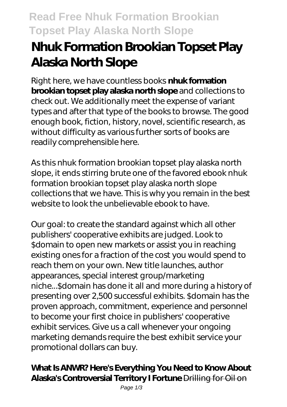## **Read Free Nhuk Formation Brookian Topset Play Alaska North Slope**

# **Nhuk Formation Brookian Topset Play Alaska North Slope**

Right here, we have countless books **nhuk formation brookian topset play alaska north slope** and collections to check out. We additionally meet the expense of variant types and after that type of the books to browse. The good enough book, fiction, history, novel, scientific research, as without difficulty as various further sorts of books are readily comprehensible here.

As this nhuk formation brookian topset play alaska north slope, it ends stirring brute one of the favored ebook nhuk formation brookian topset play alaska north slope collections that we have. This is why you remain in the best website to look the unbelievable ebook to have.

Our goal: to create the standard against which all other publishers' cooperative exhibits are judged. Look to \$domain to open new markets or assist you in reaching existing ones for a fraction of the cost you would spend to reach them on your own. New title launches, author appearances, special interest group/marketing niche...\$domain has done it all and more during a history of presenting over 2,500 successful exhibits. \$domain has the proven approach, commitment, experience and personnel to become your first choice in publishers' cooperative exhibit services. Give us a call whenever your ongoing marketing demands require the best exhibit service your promotional dollars can buy.

#### **What Is ANWR? Here's Everything You Need to Know About Alaska's Controversial Territory I Fortune** Drilling for Oil on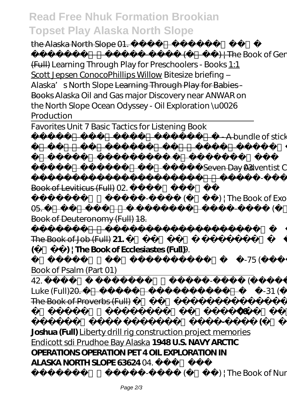### **Read Free Nhuk Formation Brookian Topset Play Alaska North Slope**

the Alaska North Slope 01.

(  $\leftarrow$  ) | The Book of Genesis (Full) *Learning Through Play for Preschoolers - Books* 1:1 Scott Jepsen ConocoPhillips Willow *Bitesize briefing – Alaska's North Slope* Learning Through Play for Babies - Books *Alaska Oil and Gas major Discovery near ANWAR on the North Slope Ocean Odyssey - Oil Exploration \u0026 Production*

សេចក្ដីបន្ថែមគោលលទ្ធិថ្មីនៃ

Favorites Unit 7 Basic Tactics for Listening Book

**A bundle of sticks** 

|                                                               |          |                         | (Seven Day Adventist Church) 03.                                                                                                                                                                                                                                                                                                  |
|---------------------------------------------------------------|----------|-------------------------|-----------------------------------------------------------------------------------------------------------------------------------------------------------------------------------------------------------------------------------------------------------------------------------------------------------------------------------|
|                                                               |          |                         | $\overbrace{\hspace{1.5cm}}$ $\hspace{1.5cm}$ $\hspace{1.5cm}$ $\hspace{1.5cm}$ $\hspace{1.5cm}$ $\hspace{1.5cm}$ $\hspace{1.5cm}$ $\hspace{1.5cm}$ $\hspace{1.5cm}$ $\hspace{1.5cm}$ $\hspace{1.5cm}$ $\hspace{1.5cm}$ $\hspace{1.5cm}$ $\hspace{1.5cm}$ $\hspace{1.5cm}$ $\hspace{1.5cm}$ $\hspace{1.5cm}$ $\hspace{1.5cm}$ $\$ |
| Book of Leviticus (Full) 02                                   |          |                         |                                                                                                                                                                                                                                                                                                                                   |
|                                                               |          |                         | $($ ) ; The Book of Exodus (Full)                                                                                                                                                                                                                                                                                                 |
| $\Theta$                                                      |          |                         |                                                                                                                                                                                                                                                                                                                                   |
| Book of Deuteronomy (Full) 18.                                |          |                         |                                                                                                                                                                                                                                                                                                                                   |
|                                                               |          |                         | $01-42$ ( $-$ ) $+$                                                                                                                                                                                                                                                                                                               |
| The Book of Job (Full) 21.                                    |          |                         | $O1-12$                                                                                                                                                                                                                                                                                                                           |
| ) The Book of Ecclesiastes (Full) 19.<br>(                    |          |                         |                                                                                                                                                                                                                                                                                                                                   |
|                                                               | 01-75 (  |                         | ) $\frac{1}{I}$ The                                                                                                                                                                                                                                                                                                               |
| Book of Psalm (Part 01)                                       |          |                         |                                                                                                                                                                                                                                                                                                                                   |
| 42.                                                           | $\left($ |                         | ) : The Book of                                                                                                                                                                                                                                                                                                                   |
| Luke (Full) <del>20.</del>                                    |          |                         | $01-31$ $($ $)$ $+$                                                                                                                                                                                                                                                                                                               |
| The Book of Proverbs (Full)                                   |          |                         |                                                                                                                                                                                                                                                                                                                                   |
|                                                               |          |                         | ൹                                                                                                                                                                                                                                                                                                                                 |
|                                                               |          |                         | ) ¦ The Book of                                                                                                                                                                                                                                                                                                                   |
| Joshua (Full) Liberty drill rig construction project memories |          |                         |                                                                                                                                                                                                                                                                                                                                   |
| Endicott sdi Prudhoe Bay Alaska 1948U.S. NAVY ARCTIC          |          |                         |                                                                                                                                                                                                                                                                                                                                   |
| OPERATIONS OPERATION PET 4 OIL EXPLORATION IN                 |          |                         |                                                                                                                                                                                                                                                                                                                                   |
| <b>ALASKA NORTH SLOPE 63624 04.</b>                           |          |                         |                                                                                                                                                                                                                                                                                                                                   |
|                                                               |          | ) ; The Book of Numbers |                                                                                                                                                                                                                                                                                                                                   |